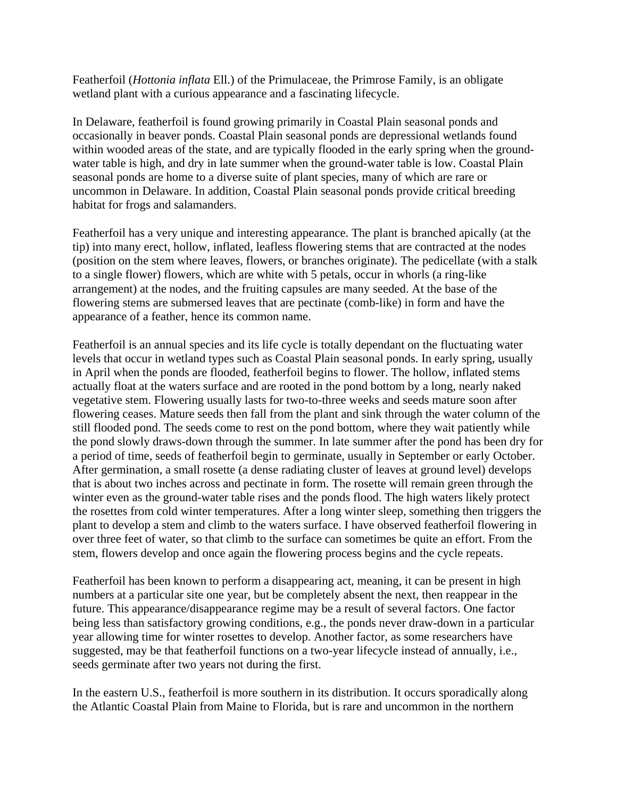Featherfoil (*Hottonia inflata* Ell.) of the Primulaceae, the Primrose Family, is an obligate wetland plant with a curious appearance and a fascinating lifecycle.

In Delaware, featherfoil is found growing primarily in Coastal Plain seasonal ponds and occasionally in beaver ponds. Coastal Plain seasonal ponds are depressional wetlands found within wooded areas of the state, and are typically flooded in the early spring when the groundwater table is high, and dry in late summer when the ground-water table is low. Coastal Plain seasonal ponds are home to a diverse suite of plant species, many of which are rare or uncommon in Delaware. In addition, Coastal Plain seasonal ponds provide critical breeding habitat for frogs and salamanders.

Featherfoil has a very unique and interesting appearance. The plant is branched apically (at the tip) into many erect, hollow, inflated, leafless flowering stems that are contracted at the nodes (position on the stem where leaves, flowers, or branches originate). The pedicellate (with a stalk to a single flower) flowers, which are white with 5 petals, occur in whorls (a ring-like arrangement) at the nodes, and the fruiting capsules are many seeded. At the base of the flowering stems are submersed leaves that are pectinate (comb-like) in form and have the appearance of a feather, hence its common name.

Featherfoil is an annual species and its life cycle is totally dependant on the fluctuating water levels that occur in wetland types such as Coastal Plain seasonal ponds. In early spring, usually in April when the ponds are flooded, featherfoil begins to flower. The hollow, inflated stems actually float at the waters surface and are rooted in the pond bottom by a long, nearly naked vegetative stem. Flowering usually lasts for two-to-three weeks and seeds mature soon after flowering ceases. Mature seeds then fall from the plant and sink through the water column of the still flooded pond. The seeds come to rest on the pond bottom, where they wait patiently while the pond slowly draws-down through the summer. In late summer after the pond has been dry for a period of time, seeds of featherfoil begin to germinate, usually in September or early October. After germination, a small rosette (a dense radiating cluster of leaves at ground level) develops that is about two inches across and pectinate in form. The rosette will remain green through the winter even as the ground-water table rises and the ponds flood. The high waters likely protect the rosettes from cold winter temperatures. After a long winter sleep, something then triggers the plant to develop a stem and climb to the waters surface. I have observed featherfoil flowering in over three feet of water, so that climb to the surface can sometimes be quite an effort. From the stem, flowers develop and once again the flowering process begins and the cycle repeats.

Featherfoil has been known to perform a disappearing act, meaning, it can be present in high numbers at a particular site one year, but be completely absent the next, then reappear in the future. This appearance/disappearance regime may be a result of several factors. One factor being less than satisfactory growing conditions, e.g., the ponds never draw-down in a particular year allowing time for winter rosettes to develop. Another factor, as some researchers have suggested, may be that featherfoil functions on a two-year lifecycle instead of annually, i.e., seeds germinate after two years not during the first.

In the eastern U.S., featherfoil is more southern in its distribution. It occurs sporadically along the Atlantic Coastal Plain from Maine to Florida, but is rare and uncommon in the northern